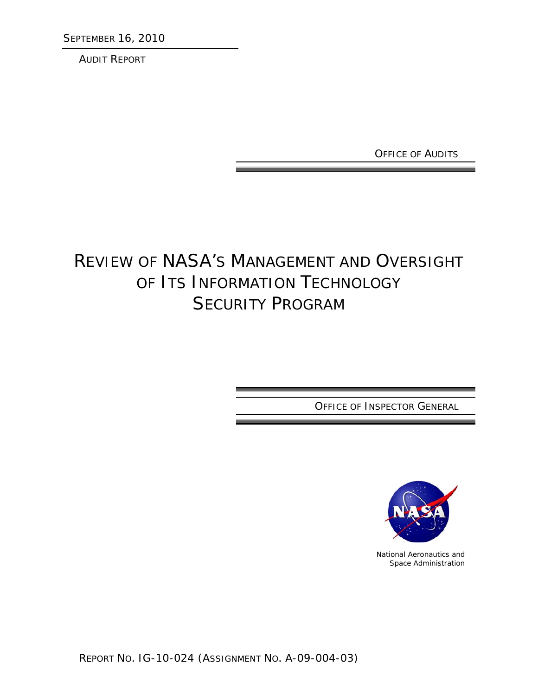SEPTEMBER 16, 2010

AUDIT REPORT

OFFICE OF AUDITS

# REVIEW OF NASA'S MANAGEMENT AND OVERSIGHT OF ITS INFORMATION TECHNOLOGY SECURITY PROGRAM

OFFICE OF INSPECTOR GENERAL



National Aeronautics and Space Administration

REPORT NO. IG-10-024 (ASSIGNMENT NO. A-09-004-03)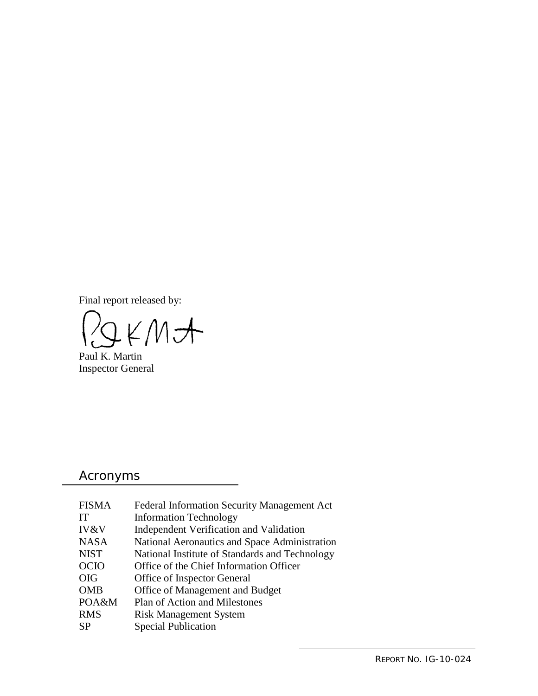Final report released by:

LKMA

Paul K. Martin Inspector General

## Acronyms

| <b>FISMA</b>    | Federal Information Security Management Act    |
|-----------------|------------------------------------------------|
| IT              | <b>Information Technology</b>                  |
| <b>IV&amp;V</b> | Independent Verification and Validation        |
| <b>NASA</b>     | National Aeronautics and Space Administration  |
| <b>NIST</b>     | National Institute of Standards and Technology |
| <b>OCIO</b>     | Office of the Chief Information Officer        |
| <b>OIG</b>      | Office of Inspector General                    |
| <b>OMB</b>      | Office of Management and Budget                |
| POA&M           | Plan of Action and Milestones                  |
| <b>RMS</b>      | <b>Risk Management System</b>                  |
| <b>SP</b>       | <b>Special Publication</b>                     |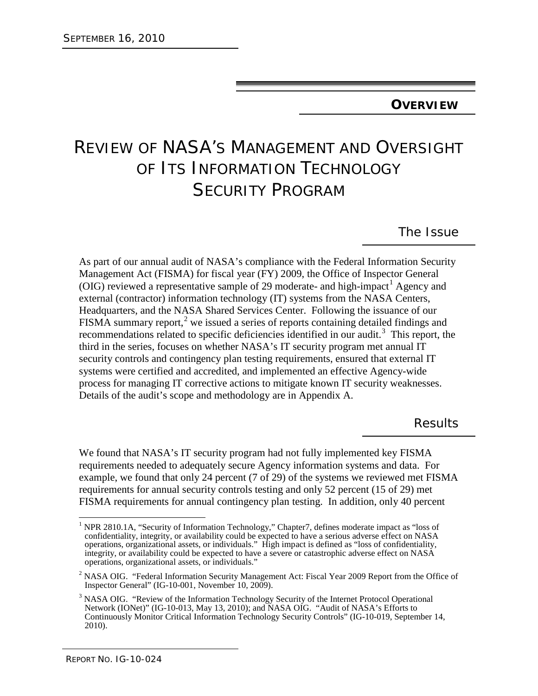#### **OVERVIEW**

# REVIEW OF NASA'S MANAGEMENT AND OVERSIGHT OF ITS INFORMATION TECHNOLOGY SECURITY PROGRAM

The Issue

As part of our annual audit of NASA's compliance with the Federal Information Security Management Act (FISMA) for fiscal year (FY) 2009, the Office of Inspector General (OIG) reviewed a representative sample of 29 moderate- and high-impact<sup>[1](#page-2-0)</sup> Agency and external (contractor) information technology (IT) systems from the NASA Centers, Headquarters, and the NASA Shared Services Center. Following the issuance of our FISMA summary report,<sup>[2](#page-2-1)</sup> we issued a series of reports containing detailed findings and recommendations related to specific deficiencies identified in our audit.<sup>[3](#page-2-2)</sup> This report, the third in the series, focuses on whether NASA's IT security program met annual IT security controls and contingency plan testing requirements, ensured that external IT systems were certified and accredited, and implemented an effective Agency-wide process for managing IT corrective actions to mitigate known IT security weaknesses. Details of the audit's scope and methodology are in Appendix A.

Results

We found that NASA's IT security program had not fully implemented key FISMA requirements needed to adequately secure Agency information systems and data. For example, we found that only 24 percent (7 of 29) of the systems we reviewed met FISMA requirements for annual security controls testing and only 52 percent (15 of 29) met FISMA requirements for annual contingency plan testing. In addition, only 40 percent

<span id="page-2-0"></span><sup>&</sup>lt;sup>1</sup> NPR 2810.1A, "Security of Information Technology," Chapter7, defines moderate impact as "loss of confidentiality, integrity, or availability could be expected to have a serious adverse effect on NASA operations, organizational assets, or individuals." High impact is defined as "loss of confidentiality, integrity, or availability could be expected to have a severe or catastrophic adverse effect on NASA operations, organizational assets, or individuals."

<span id="page-2-1"></span><sup>&</sup>lt;sup>2</sup> NASA OIG. "Federal Information Security Management Act: Fiscal Year 2009 Report from the Office of Inspector General" (IG-10-001, November 10, 2009).

<span id="page-2-2"></span><sup>&</sup>lt;sup>3</sup> NASA OIG. "Review of the Information Technology Security of the Internet Protocol Operational Network (IONet)" (IG-10-013, May 13, 2010); and NASA OIG. "Audit of NASA's Efforts to Continuously Monitor Critical Information Technology Security Controls" (IG-10-019, September 14, 2010).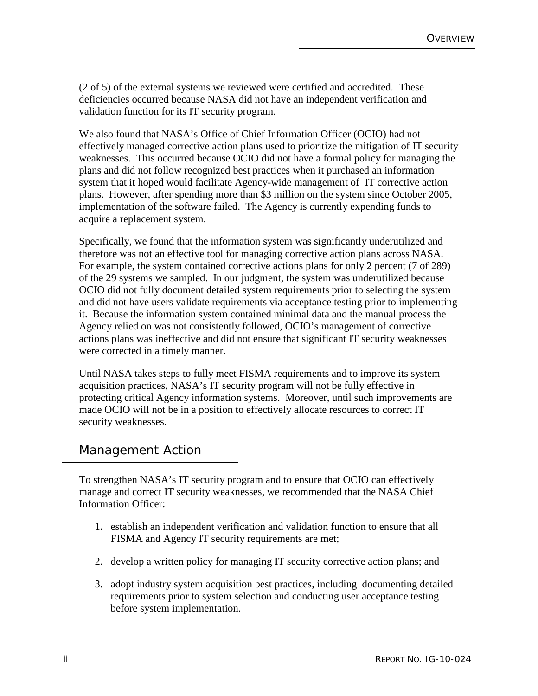(2 of 5) of the external systems we reviewed were certified and accredited. These deficiencies occurred because NASA did not have an independent verification and validation function for its IT security program.

We also found that NASA's Office of Chief Information Officer (OCIO) had not effectively managed corrective action plans used to prioritize the mitigation of IT security weaknesses. This occurred because OCIO did not have a formal policy for managing the plans and did not follow recognized best practices when it purchased an information system that it hoped would facilitate Agency-wide management of IT corrective action plans. However, after spending more than \$3 million on the system since October 2005, implementation of the software failed. The Agency is currently expending funds to acquire a replacement system.

Specifically, we found that the information system was significantly underutilized and therefore was not an effective tool for managing corrective action plans across NASA. For example, the system contained corrective actions plans for only 2 percent (7 of 289) of the 29 systems we sampled. In our judgment, the system was underutilized because OCIO did not fully document detailed system requirements prior to selecting the system and did not have users validate requirements via acceptance testing prior to implementing it. Because the information system contained minimal data and the manual process the Agency relied on was not consistently followed, OCIO's management of corrective actions plans was ineffective and did not ensure that significant IT security weaknesses were corrected in a timely manner.

Until NASA takes steps to fully meet FISMA requirements and to improve its system acquisition practices, NASA's IT security program will not be fully effective in protecting critical Agency information systems. Moreover, until such improvements are made OCIO will not be in a position to effectively allocate resources to correct IT security weaknesses.

#### Management Action

To strengthen NASA's IT security program and to ensure that OCIO can effectively manage and correct IT security weaknesses, we recommended that the NASA Chief Information Officer:

- 1. establish an independent verification and validation function to ensure that all FISMA and Agency IT security requirements are met;
- 2. develop a written policy for managing IT security corrective action plans; and
- 3. adopt industry system acquisition best practices, including documenting detailed requirements prior to system selection and conducting user acceptance testing before system implementation.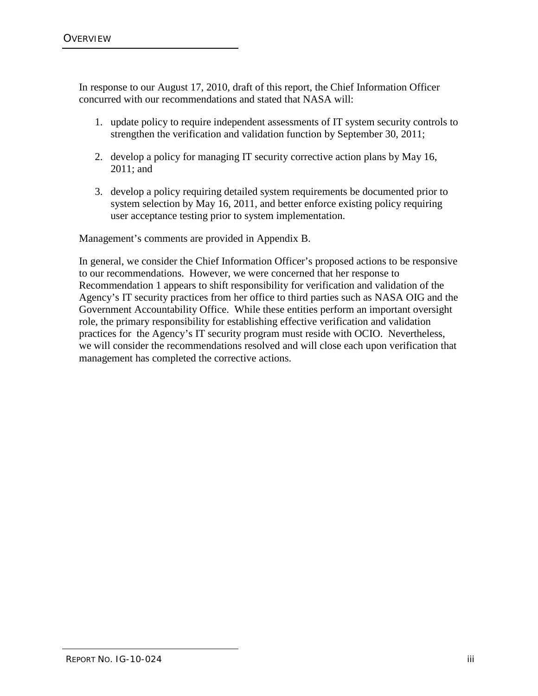In response to our August 17, 2010, draft of this report, the Chief Information Officer concurred with our recommendations and stated that NASA will:

- 1. update policy to require independent assessments of IT system security controls to strengthen the verification and validation function by September 30, 2011;
- 2. develop a policy for managing IT security corrective action plans by May 16, 2011; and
- 3. develop a policy requiring detailed system requirements be documented prior to system selection by May 16, 2011, and better enforce existing policy requiring user acceptance testing prior to system implementation.

Management's comments are provided in Appendix B.

In general, we consider the Chief Information Officer's proposed actions to be responsive to our recommendations. However, we were concerned that her response to Recommendation 1 appears to shift responsibility for verification and validation of the Agency's IT security practices from her office to third parties such as NASA OIG and the Government Accountability Office. While these entities perform an important oversight role, the primary responsibility for establishing effective verification and validation practices for the Agency's IT security program must reside with OCIO. Nevertheless, we will consider the recommendations resolved and will close each upon verification that management has completed the corrective actions.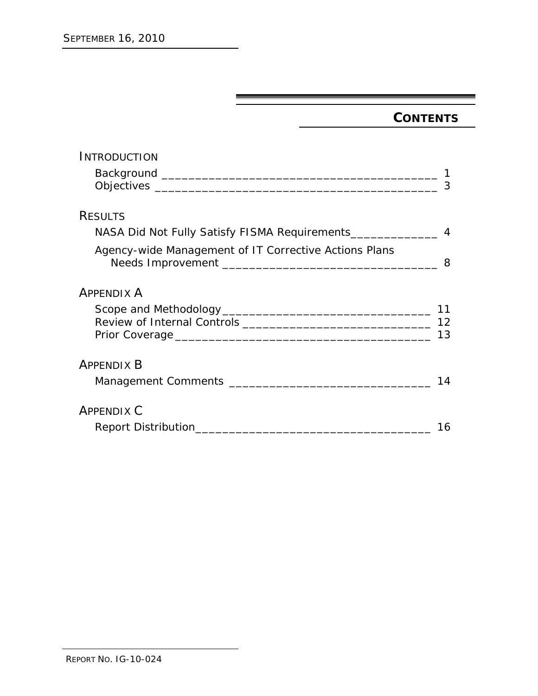## **CONTENTS**

| INTRODUCTION                                          |    |
|-------------------------------------------------------|----|
|                                                       |    |
|                                                       | 3  |
| <b>RESULTS</b>                                        |    |
|                                                       |    |
| Agency-wide Management of IT Corrective Actions Plans | 8  |
| <b>APPENDIX A</b>                                     |    |
|                                                       |    |
|                                                       | 12 |
|                                                       | 13 |
| <b>APPENDIX B</b>                                     |    |
|                                                       | 14 |
| <b>APPENDIX C</b>                                     |    |
|                                                       |    |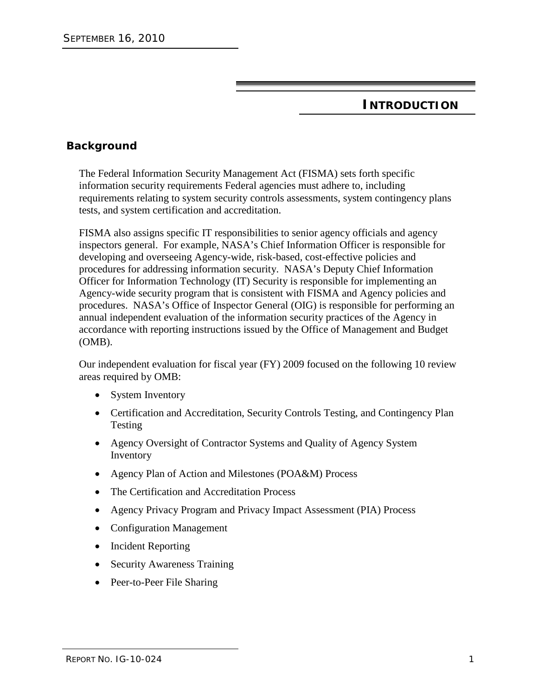### **INTRODUCTION**

#### **Background**

The Federal Information Security Management Act (FISMA) sets forth specific information security requirements Federal agencies must adhere to, including requirements relating to system security controls assessments, system contingency plans tests, and system certification and accreditation.

FISMA also assigns specific IT responsibilities to senior agency officials and agency inspectors general. For example, NASA's Chief Information Officer is responsible for developing and overseeing Agency-wide, risk-based, cost-effective policies and procedures for addressing information security. NASA's Deputy Chief Information Officer for Information Technology (IT) Security is responsible for implementing an Agency-wide security program that is consistent with FISMA and Agency policies and procedures. NASA's Office of Inspector General (OIG) is responsible for performing an annual independent evaluation of the information security practices of the Agency in accordance with reporting instructions issued by the Office of Management and Budget (OMB).

Our independent evaluation for fiscal year (FY) 2009 focused on the following 10 review areas required by OMB:

- System Inventory
- Certification and Accreditation, Security Controls Testing, and Contingency Plan Testing
- Agency Oversight of Contractor Systems and Quality of Agency System Inventory
- Agency Plan of Action and Milestones (POA&M) Process
- The Certification and Accreditation Process
- Agency Privacy Program and Privacy Impact Assessment (PIA) Process
- Configuration Management
- Incident Reporting
- Security Awareness Training
- Peer-to-Peer File Sharing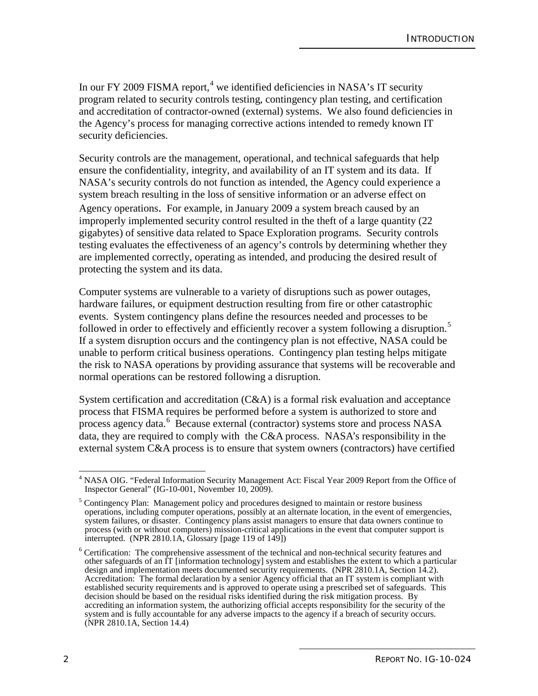In our FY 2009 FISMA report,<sup>[4](#page-9-0)</sup> we identified deficiencies in NASA's IT security program related to security controls testing, contingency plan testing, and certification and accreditation of contractor-owned (external) systems. We also found deficiencies in the Agency's process for managing corrective actions intended to remedy known IT security deficiencies.

Security controls are the management, operational, and technical safeguards that help ensure the confidentiality, integrity, and availability of an IT system and its data. If NASA's security controls do not function as intended, the Agency could experience a system breach resulting in the loss of sensitive information or an adverse effect on Agency operations. For example, in January 2009 a system breach caused by an improperly implemented security control resulted in the theft of a large quantity (22 gigabytes) of sensitive data related to Space Exploration programs. Security controls testing evaluates the effectiveness of an agency's controls by determining whether they are implemented correctly, operating as intended, and producing the desired result of protecting the system and its data.

Computer systems are vulnerable to a variety of disruptions such as power outages, hardware failures, or equipment destruction resulting from fire or other catastrophic events. System contingency plans define the resources needed and processes to be followed in order to effectively and efficiently recover a system following a disruption.<sup>[5](#page-9-1)</sup> If a system disruption occurs and the contingency plan is not effective, NASA could be unable to perform critical business operations. Contingency plan testing helps mitigate the risk to NASA operations by providing assurance that systems will be recoverable and normal operations can be restored following a disruption.

System certification and accreditation (C&A) is a formal risk evaluation and acceptance process that FISMA requires be performed before a system is authorized to store and process agency data.<sup>[6](#page-9-2)</sup> Because external (contractor) systems store and process NASA data, they are required to comply with the C&A process. NASA's responsibility in the external system C&A process is to ensure that system owners (contractors) have certified

<span id="page-9-0"></span><sup>&</sup>lt;sup>4</sup> NASA OIG. "Federal Information Security Management Act: Fiscal Year 2009 Report from the Office of Inspector General" (IG-10-001, November 10, 2009).

<span id="page-9-1"></span><sup>&</sup>lt;sup>5</sup> Contingency Plan: Management policy and procedures designed to maintain or restore business operations, including computer operations, possibly at an alternate location, in the event of emergencies, system failures, or disaster. Contingency plans assist managers to ensure that data owners continue to process (with or without computers) mission-critical applications in the event that computer support is  $\frac{1}{2}$  interrupted. (NPR 2810.1A, Glossary [page 119 of 149])

<span id="page-9-2"></span><sup>&</sup>lt;sup>6</sup> Certification: The comprehensive assessment of the technical and non-technical security features and other safeguards of an IT [information technology] system and establishes the extent to which a particular design and implementation meets documented security requirements. (NPR 2810.1A, Section 14.2). Accreditation: The formal declaration by a senior Agency official that an IT system is compliant with established security requirements and is approved to operate using a prescribed set of safeguards. This decision should be based on the residual risks identified during the risk mitigation process. By accrediting an information system, the authorizing official accepts responsibility for the security of the system and is fully accountable for any adverse impacts to the agency if a breach of security occurs. (NPR 2810.1A, Section 14.4)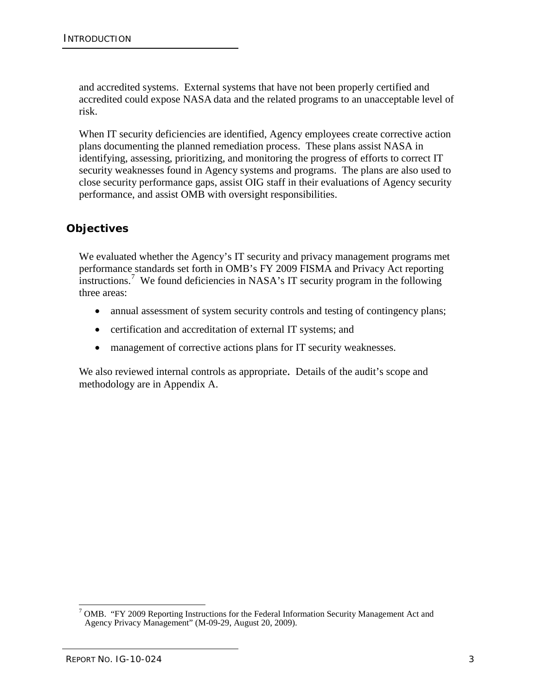and accredited systems. External systems that have not been properly certified and accredited could expose NASA data and the related programs to an unacceptable level of risk.

When IT security deficiencies are identified, Agency employees create corrective action plans documenting the planned remediation process. These plans assist NASA in identifying, assessing, prioritizing, and monitoring the progress of efforts to correct IT security weaknesses found in Agency systems and programs. The plans are also used to close security performance gaps, assist OIG staff in their evaluations of Agency security performance, and assist OMB with oversight responsibilities.

#### **Objectives**

We evaluated whether the Agency's IT security and privacy management programs met performance standards set forth in OMB's FY 2009 FISMA and Privacy Act reporting instructions. [7](#page-10-0) We found deficiencies in NASA's IT security program in the following three areas:

- annual assessment of system security controls and testing of contingency plans;
- certification and accreditation of external IT systems; and
- management of corrective actions plans for IT security weaknesses.

We also reviewed internal controls as appropriate. Details of the audit's scope and methodology are in Appendix A.

<span id="page-10-0"></span> <sup>7</sup> OMB. "FY 2009 Reporting Instructions for the Federal Information Security Management Act and Agency Privacy Management" (M-09-29, August 20, 2009).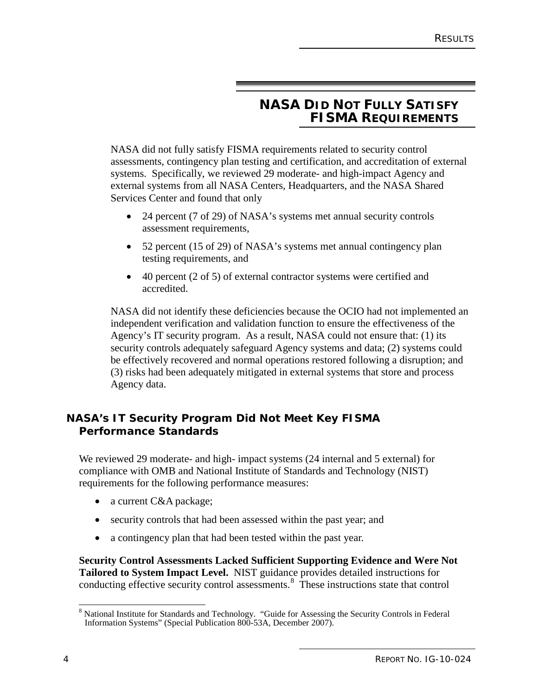### **NASA DID NOT FULLY SATISFY FISMA REQUIREMENTS**

NASA did not fully satisfy FISMA requirements related to security control assessments, contingency plan testing and certification, and accreditation of external systems. Specifically, we reviewed 29 moderate- and high-impact Agency and external systems from all NASA Centers, Headquarters, and the NASA Shared Services Center and found that only

- 24 percent (7 of 29) of NASA's systems met annual security controls assessment requirements,
- 52 percent (15 of 29) of NASA's systems met annual contingency plan testing requirements, and
- 40 percent (2 of 5) of external contractor systems were certified and accredited.

NASA did not identify these deficiencies because the OCIO had not implemented an independent verification and validation function to ensure the effectiveness of the Agency's IT security program. As a result, NASA could not ensure that: (1) its security controls adequately safeguard Agency systems and data; (2) systems could be effectively recovered and normal operations restored following a disruption; and (3) risks had been adequately mitigated in external systems that store and process Agency data.

#### **NASA's IT Security Program Did Not Meet Key FISMA Performance Standards**

We reviewed 29 moderate- and high- impact systems (24 internal and 5 external) for compliance with OMB and National Institute of Standards and Technology (NIST) requirements for the following performance measures:

- a current C&A package;
- security controls that had been assessed within the past year; and
- a contingency plan that had been tested within the past year.

**Security Control Assessments Lacked Sufficient Supporting Evidence and Were Not Tailored to System Impact Level.** NIST guidance provides detailed instructions for conducting effective security control assessments.<sup>[8](#page-11-0)</sup> These instructions state that control

<span id="page-11-0"></span><sup>&</sup>lt;sup>8</sup> National Institute for Standards and Technology. "Guide for Assessing the Security Controls in Federal Information Systems" (Special Publication 800-53A, December 2007).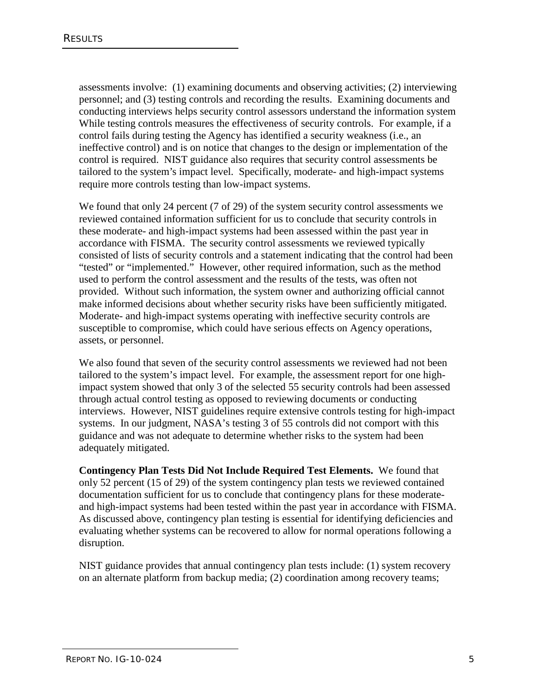assessments involve: (1) examining documents and observing activities; (2) interviewing personnel; and (3) testing controls and recording the results. Examining documents and conducting interviews helps security control assessors understand the information system While testing controls measures the effectiveness of security controls. For example, if a control fails during testing the Agency has identified a security weakness (i.e., an ineffective control) and is on notice that changes to the design or implementation of the control is required. NIST guidance also requires that security control assessments be tailored to the system's impact level. Specifically, moderate- and high-impact systems require more controls testing than low-impact systems.

We found that only 24 percent (7 of 29) of the system security control assessments we reviewed contained information sufficient for us to conclude that security controls in these moderate- and high-impact systems had been assessed within the past year in accordance with FISMA. The security control assessments we reviewed typically consisted of lists of security controls and a statement indicating that the control had been "tested" or "implemented." However, other required information, such as the method used to perform the control assessment and the results of the tests, was often not provided. Without such information, the system owner and authorizing official cannot make informed decisions about whether security risks have been sufficiently mitigated. Moderate- and high-impact systems operating with ineffective security controls are susceptible to compromise, which could have serious effects on Agency operations, assets, or personnel.

We also found that seven of the security control assessments we reviewed had not been tailored to the system's impact level. For example, the assessment report for one highimpact system showed that only 3 of the selected 55 security controls had been assessed through actual control testing as opposed to reviewing documents or conducting interviews. However, NIST guidelines require extensive controls testing for high-impact systems. In our judgment, NASA's testing 3 of 55 controls did not comport with this guidance and was not adequate to determine whether risks to the system had been adequately mitigated.

**Contingency Plan Tests Did Not Include Required Test Elements.** We found that only 52 percent (15 of 29) of the system contingency plan tests we reviewed contained documentation sufficient for us to conclude that contingency plans for these moderateand high-impact systems had been tested within the past year in accordance with FISMA. As discussed above, contingency plan testing is essential for identifying deficiencies and evaluating whether systems can be recovered to allow for normal operations following a disruption.

NIST guidance provides that annual contingency plan tests include: (1) system recovery on an alternate platform from backup media; (2) coordination among recovery teams;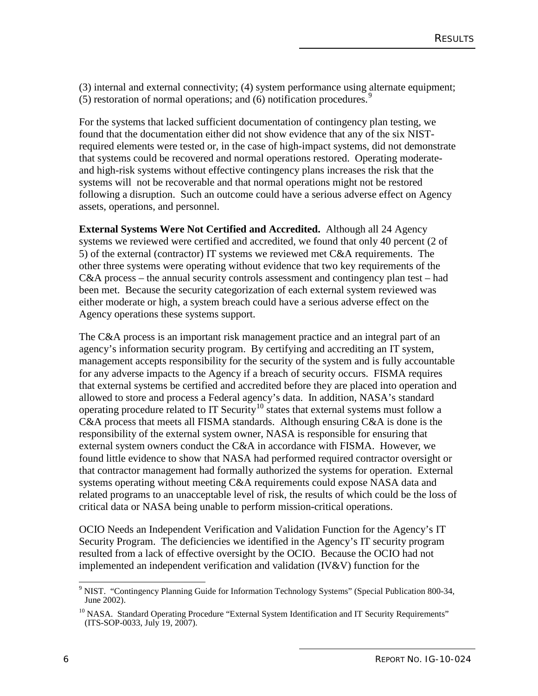(3) internal and external connectivity; (4) system performance using alternate equipment; (5) restoration of normal operations; and (6) notification procedures.[9](#page-13-0)

For the systems that lacked sufficient documentation of contingency plan testing, we found that the documentation either did not show evidence that any of the six NISTrequired elements were tested or, in the case of high-impact systems, did not demonstrate that systems could be recovered and normal operations restored. Operating moderateand high-risk systems without effective contingency plans increases the risk that the systems will not be recoverable and that normal operations might not be restored following a disruption. Such an outcome could have a serious adverse effect on Agency assets, operations, and personnel.

**External Systems Were Not Certified and Accredited.** Although all 24 Agency systems we reviewed were certified and accredited, we found that only 40 percent (2 of 5) of the external (contractor) IT systems we reviewed met C&A requirements. The other three systems were operating without evidence that two key requirements of the C&A process – the annual security controls assessment and contingency plan test – had been met. Because the security categorization of each external system reviewed was either moderate or high, a system breach could have a serious adverse effect on the Agency operations these systems support.

The C&A process is an important risk management practice and an integral part of an agency's information security program. By certifying and accrediting an IT system, management accepts responsibility for the security of the system and is fully accountable for any adverse impacts to the Agency if a breach of security occurs. FISMA requires that external systems be certified and accredited before they are placed into operation and allowed to store and process a Federal agency's data. In addition, NASA's standard operating procedure related to IT Security<sup>[10](#page-13-1)</sup> states that external systems must follow a C&A process that meets all FISMA standards. Although ensuring C&A is done is the responsibility of the external system owner, NASA is responsible for ensuring that external system owners conduct the C&A in accordance with FISMA. However, we found little evidence to show that NASA had performed required contractor oversight or that contractor management had formally authorized the systems for operation. External systems operating without meeting C&A requirements could expose NASA data and related programs to an unacceptable level of risk, the results of which could be the loss of critical data or NASA being unable to perform mission-critical operations.

OCIO Needs an Independent Verification and Validation Function for the Agency's IT Security Program. The deficiencies we identified in the Agency's IT security program resulted from a lack of effective oversight by the OCIO. Because the OCIO had not implemented an independent verification and validation  $(IV&V)$  function for the

<span id="page-13-0"></span> <sup>9</sup> NIST. "Contingency Planning Guide for Information Technology Systems" (Special Publication 800-34, June 2002).

<span id="page-13-1"></span><sup>&</sup>lt;sup>10</sup> NASA. Standard Operating Procedure "External System Identification and IT Security Requirements" (ITS-SOP-0033, July 19, 2007).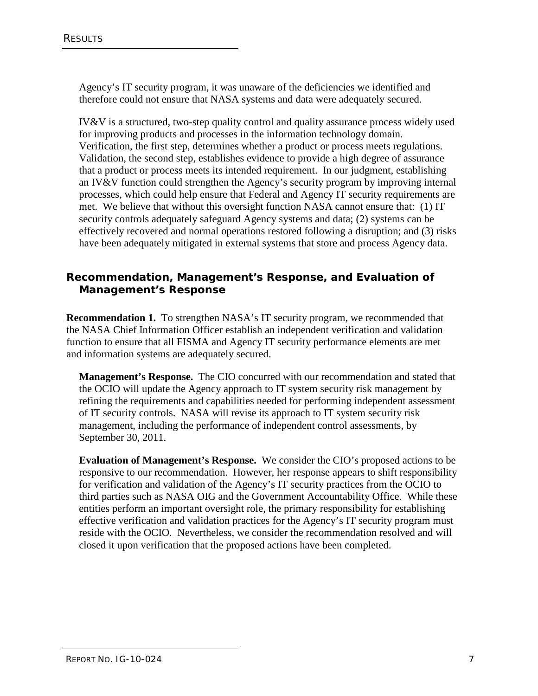Agency's IT security program, it was unaware of the deficiencies we identified and therefore could not ensure that NASA systems and data were adequately secured.

IV&V is a structured, two-step quality control and quality assurance process widely used for improving products and processes in the information technology domain. Verification, the first step, determines whether a product or process meets regulations. Validation, the second step, establishes evidence to provide a high degree of assurance that a product or process meets its intended requirement. In our judgment, establishing an IV&V function could strengthen the Agency's security program by improving internal processes, which could help ensure that Federal and Agency IT security requirements are met. We believe that without this oversight function NASA cannot ensure that: (1) IT security controls adequately safeguard Agency systems and data; (2) systems can be effectively recovered and normal operations restored following a disruption; and (3) risks have been adequately mitigated in external systems that store and process Agency data.

#### **Recommendation, Management's Response, and Evaluation of Management's Response**

**Recommendation 1.** To strengthen NASA's IT security program, we recommended that the NASA Chief Information Officer establish an independent verification and validation function to ensure that all FISMA and Agency IT security performance elements are met and information systems are adequately secured.

**Management's Response.** The CIO concurred with our recommendation and stated that the OCIO will update the Agency approach to IT system security risk management by refining the requirements and capabilities needed for performing independent assessment of IT security controls. NASA will revise its approach to IT system security risk management, including the performance of independent control assessments, by September 30, 2011.

**Evaluation of Management's Response.** We consider the CIO's proposed actions to be responsive to our recommendation. However, her response appears to shift responsibility for verification and validation of the Agency's IT security practices from the OCIO to third parties such as NASA OIG and the Government Accountability Office. While these entities perform an important oversight role, the primary responsibility for establishing effective verification and validation practices for the Agency's IT security program must reside with the OCIO. Nevertheless, we consider the recommendation resolved and will closed it upon verification that the proposed actions have been completed.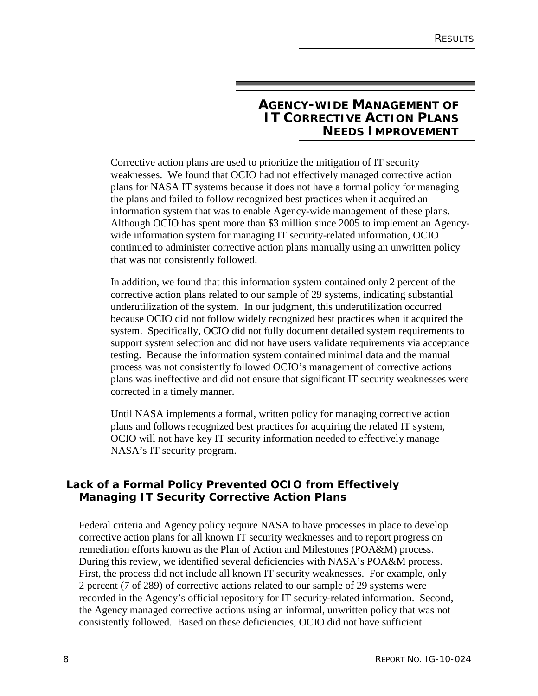#### **AGENCY-WIDE MANAGEMENT OF IT CORRECTIVE ACTION PLANS NEEDS IMPROVEMENT**

Corrective action plans are used to prioritize the mitigation of IT security weaknesses. We found that OCIO had not effectively managed corrective action plans for NASA IT systems because it does not have a formal policy for managing the plans and failed to follow recognized best practices when it acquired an information system that was to enable Agency-wide management of these plans. Although OCIO has spent more than \$3 million since 2005 to implement an Agencywide information system for managing IT security-related information, OCIO continued to administer corrective action plans manually using an unwritten policy that was not consistently followed.

In addition, we found that this information system contained only 2 percent of the corrective action plans related to our sample of 29 systems, indicating substantial underutilization of the system. In our judgment, this underutilization occurred because OCIO did not follow widely recognized best practices when it acquired the system. Specifically, OCIO did not fully document detailed system requirements to support system selection and did not have users validate requirements via acceptance testing. Because the information system contained minimal data and the manual process was not consistently followed OCIO's management of corrective actions plans was ineffective and did not ensure that significant IT security weaknesses were corrected in a timely manner.

Until NASA implements a formal, written policy for managing corrective action plans and follows recognized best practices for acquiring the related IT system, OCIO will not have key IT security information needed to effectively manage NASA's IT security program.

#### **Lack of a Formal Policy Prevented OCIO from Effectively Managing IT Security Corrective Action Plans**

Federal criteria and Agency policy require NASA to have processes in place to develop corrective action plans for all known IT security weaknesses and to report progress on remediation efforts known as the Plan of Action and Milestones (POA&M) process. During this review, we identified several deficiencies with NASA's POA&M process. First, the process did not include all known IT security weaknesses. For example, only 2 percent (7 of 289) of corrective actions related to our sample of 29 systems were recorded in the Agency's official repository for IT security-related information. Second, the Agency managed corrective actions using an informal, unwritten policy that was not consistently followed. Based on these deficiencies, OCIO did not have sufficient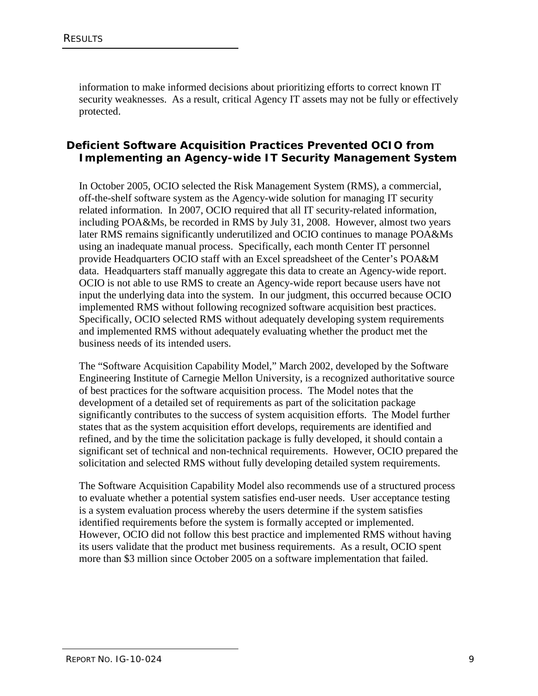information to make informed decisions about prioritizing efforts to correct known IT security weaknesses. As a result, critical Agency IT assets may not be fully or effectively protected.

#### **Deficient Software Acquisition Practices Prevented OCIO from Implementing an Agency-wide IT Security Management System**

In October 2005, OCIO selected the Risk Management System (RMS), a commercial, off-the-shelf software system as the Agency-wide solution for managing IT security related information. In 2007, OCIO required that all IT security-related information, including POA&Ms, be recorded in RMS by July 31, 2008. However, almost two years later RMS remains significantly underutilized and OCIO continues to manage POA&Ms using an inadequate manual process. Specifically, each month Center IT personnel provide Headquarters OCIO staff with an Excel spreadsheet of the Center's POA&M data. Headquarters staff manually aggregate this data to create an Agency-wide report. OCIO is not able to use RMS to create an Agency-wide report because users have not input the underlying data into the system. In our judgment, this occurred because OCIO implemented RMS without following recognized software acquisition best practices. Specifically, OCIO selected RMS without adequately developing system requirements and implemented RMS without adequately evaluating whether the product met the business needs of its intended users.

The "Software Acquisition Capability Model," March 2002, developed by the Software Engineering Institute of Carnegie Mellon University, is a recognized authoritative source of best practices for the software acquisition process. The Model notes that the development of a detailed set of requirements as part of the solicitation package significantly contributes to the success of system acquisition efforts. The Model further states that as the system acquisition effort develops, requirements are identified and refined, and by the time the solicitation package is fully developed, it should contain a significant set of technical and non-technical requirements. However, OCIO prepared the solicitation and selected RMS without fully developing detailed system requirements.

The Software Acquisition Capability Model also recommends use of a structured process to evaluate whether a potential system satisfies end-user needs. User acceptance testing is a system evaluation process whereby the users determine if the system satisfies identified requirements before the system is formally accepted or implemented. However, OCIO did not follow this best practice and implemented RMS without having its users validate that the product met business requirements. As a result, OCIO spent more than \$3 million since October 2005 on a software implementation that failed.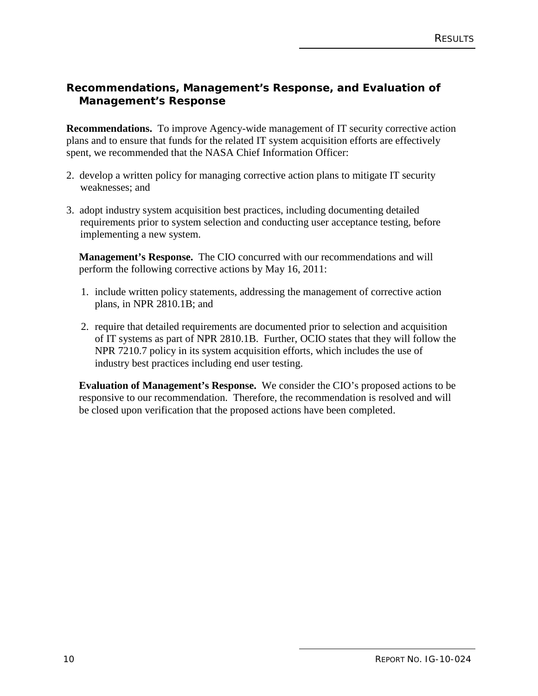#### **Recommendations, Management's Response, and Evaluation of Management's Response**

**Recommendations.** To improve Agency-wide management of IT security corrective action plans and to ensure that funds for the related IT system acquisition efforts are effectively spent, we recommended that the NASA Chief Information Officer:

- 2. develop a written policy for managing corrective action plans to mitigate IT security weaknesses; and
- 3. adopt industry system acquisition best practices, including documenting detailed requirements prior to system selection and conducting user acceptance testing, before implementing a new system.

**Management's Response.** The CIO concurred with our recommendations and will perform the following corrective actions by May 16, 2011:

- 1. include written policy statements, addressing the management of corrective action plans, in NPR 2810.1B; and
- 2. require that detailed requirements are documented prior to selection and acquisition of IT systems as part of NPR 2810.1B. Further, OCIO states that they will follow the NPR 7210.7 policy in its system acquisition efforts, which includes the use of industry best practices including end user testing.

**Evaluation of Management's Response.** We consider the CIO's proposed actions to be responsive to our recommendation. Therefore, the recommendation is resolved and will be closed upon verification that the proposed actions have been completed.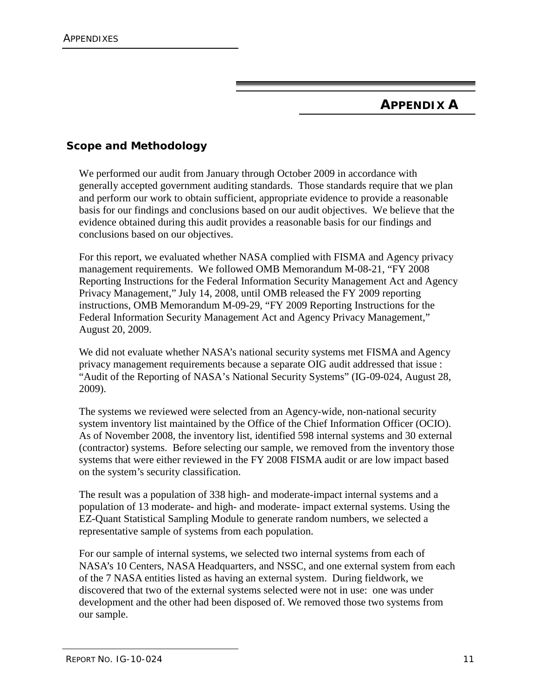## **APPENDIX A**

#### **Scope and Methodology**

We performed our audit from January through October 2009 in accordance with generally accepted government auditing standards. Those standards require that we plan and perform our work to obtain sufficient, appropriate evidence to provide a reasonable basis for our findings and conclusions based on our audit objectives. We believe that the evidence obtained during this audit provides a reasonable basis for our findings and conclusions based on our objectives.

For this report, we evaluated whether NASA complied with FISMA and Agency privacy management requirements. We followed OMB Memorandum M-08-21, "FY 2008 Reporting Instructions for the Federal Information Security Management Act and Agency Privacy Management," July 14, 2008, until OMB released the FY 2009 reporting instructions, OMB Memorandum M-09-29, "FY 2009 Reporting Instructions for the Federal Information Security Management Act and Agency Privacy Management," August 20, 2009.

We did not evaluate whether NASA's national security systems met FISMA and Agency privacy management requirements because a separate OIG audit addressed that issue : "Audit of the Reporting of NASA's National Security Systems" (IG-09-024, August 28, 2009).

The systems we reviewed were selected from an Agency-wide, non-national security system inventory list maintained by the Office of the Chief Information Officer (OCIO). As of November 2008, the inventory list, identified 598 internal systems and 30 external (contractor) systems. Before selecting our sample, we removed from the inventory those systems that were either reviewed in the FY 2008 FISMA audit or are low impact based on the system's security classification.

The result was a population of 338 high- and moderate-impact internal systems and a population of 13 moderate- and high- and moderate- impact external systems. Using the EZ-Quant Statistical Sampling Module to generate random numbers, we selected a representative sample of systems from each population.

For our sample of internal systems, we selected two internal systems from each of NASA's 10 Centers, NASA Headquarters, and NSSC, and one external system from each of the 7 NASA entities listed as having an external system. During fieldwork, we discovered that two of the external systems selected were not in use: one was under development and the other had been disposed of. We removed those two systems from our sample.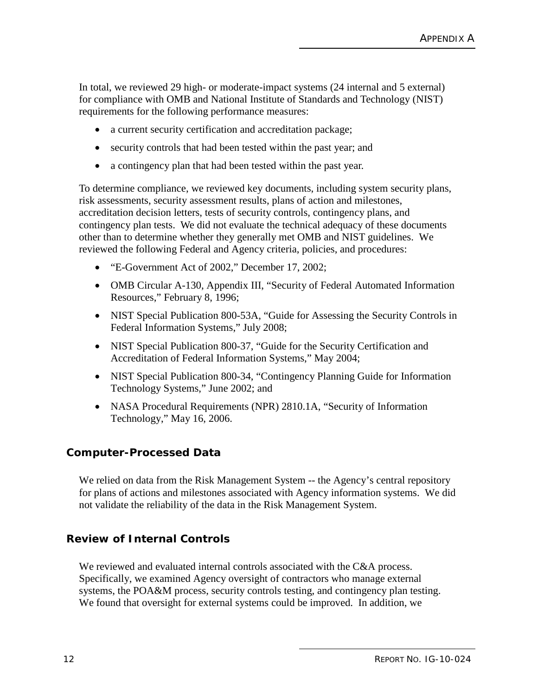In total, we reviewed 29 high- or moderate-impact systems (24 internal and 5 external) for compliance with OMB and National Institute of Standards and Technology (NIST) requirements for the following performance measures:

- a current security certification and accreditation package;
- security controls that had been tested within the past year; and
- a contingency plan that had been tested within the past year.

To determine compliance, we reviewed key documents, including system security plans, risk assessments, security assessment results, plans of action and milestones, accreditation decision letters, tests of security controls, contingency plans, and contingency plan tests. We did not evaluate the technical adequacy of these documents other than to determine whether they generally met OMB and NIST guidelines. We reviewed the following Federal and Agency criteria, policies, and procedures:

- "E-Government Act of 2002," December 17, 2002;
- OMB Circular A-130, Appendix III, "Security of Federal Automated Information Resources," February 8, 1996;
- NIST Special Publication 800-53A, "Guide for Assessing the Security Controls in Federal Information Systems," July 2008;
- NIST Special Publication 800-37, "Guide for the Security Certification and Accreditation of Federal Information Systems," May 2004;
- NIST Special Publication 800-34, "Contingency Planning Guide for Information Technology Systems," June 2002; and
- NASA Procedural Requirements (NPR) 2810.1A, "Security of Information Technology," May 16, 2006.

#### **Computer-Processed Data**

We relied on data from the Risk Management System -- the Agency's central repository for plans of actions and milestones associated with Agency information systems. We did not validate the reliability of the data in the Risk Management System.

#### **Review of Internal Controls**

We reviewed and evaluated internal controls associated with the C&A process. Specifically, we examined Agency oversight of contractors who manage external systems, the POA&M process, security controls testing, and contingency plan testing. We found that oversight for external systems could be improved. In addition, we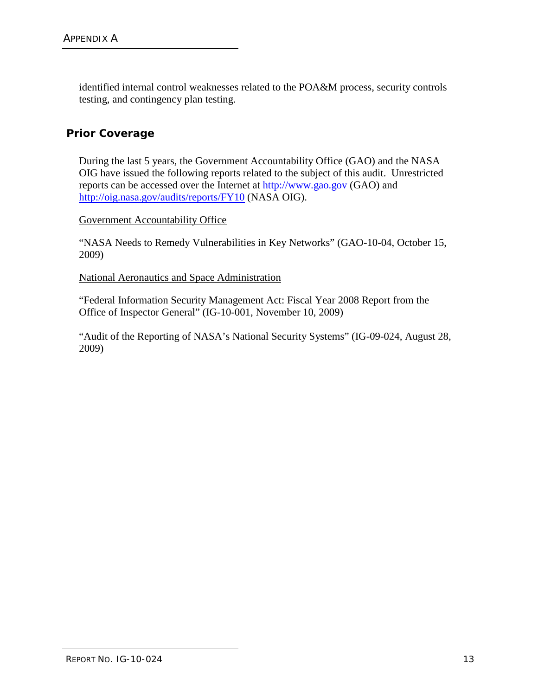identified internal control weaknesses related to the POA&M process, security controls testing, and contingency plan testing.

#### **Prior Coverage**

During the last 5 years, the Government Accountability Office (GAO) and the NASA OIG have issued the following reports related to the subject of this audit. Unrestricted reports can be accessed over the Internet at [http://www.gao.gov](http://www.gao.gov/) (GAO) and <http://oig.nasa.gov/audits/reports/FY10> (NASA OIG).

#### Government Accountability Office

"NASA Needs to Remedy Vulnerabilities in Key Networks" (GAO-10-04, October 15, 2009)

National Aeronautics and Space Administration

"Federal Information Security Management Act: Fiscal Year 2008 Report from the Office of Inspector General" (IG-10-001, November 10, 2009)

"Audit of the Reporting of NASA's National Security Systems" (IG-09-024, August 28, 2009)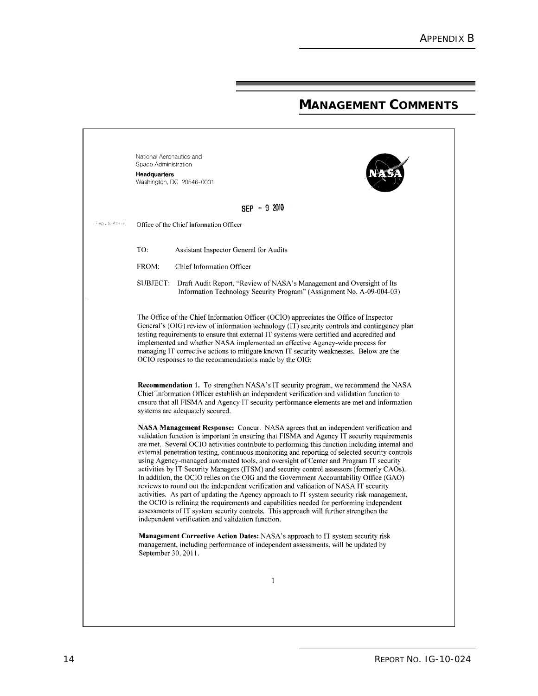## **MANAGEMENT COMMENTS**

|                   | National Aeronautics and<br>Space Administration<br>Headquarters<br>Washington, DC 20546-0001                                                                                                                                                                                                                                                                                                                                                                                                                                                                                                                                                                                                                                                                                                                                                                                                                                                                                                                                                                                                          |
|-------------------|--------------------------------------------------------------------------------------------------------------------------------------------------------------------------------------------------------------------------------------------------------------------------------------------------------------------------------------------------------------------------------------------------------------------------------------------------------------------------------------------------------------------------------------------------------------------------------------------------------------------------------------------------------------------------------------------------------------------------------------------------------------------------------------------------------------------------------------------------------------------------------------------------------------------------------------------------------------------------------------------------------------------------------------------------------------------------------------------------------|
|                   | $SEP - 92010$                                                                                                                                                                                                                                                                                                                                                                                                                                                                                                                                                                                                                                                                                                                                                                                                                                                                                                                                                                                                                                                                                          |
| Fieply to Attn of | Office of the Chief Information Officer                                                                                                                                                                                                                                                                                                                                                                                                                                                                                                                                                                                                                                                                                                                                                                                                                                                                                                                                                                                                                                                                |
|                   | TO:<br>Assistant Inspector General for Audits                                                                                                                                                                                                                                                                                                                                                                                                                                                                                                                                                                                                                                                                                                                                                                                                                                                                                                                                                                                                                                                          |
|                   | FROM:<br>Chief Information Officer                                                                                                                                                                                                                                                                                                                                                                                                                                                                                                                                                                                                                                                                                                                                                                                                                                                                                                                                                                                                                                                                     |
|                   | SUBJECT:<br>Draft Audit Report, "Review of NASA's Management and Oversight of Its<br>Information Technology Security Program" (Assignment No. A-09-004-03)                                                                                                                                                                                                                                                                                                                                                                                                                                                                                                                                                                                                                                                                                                                                                                                                                                                                                                                                             |
|                   | The Office of the Chief Information Officer (OCIO) appreciates the Office of Inspector<br>General's (OIG) review of information technology (IT) security controls and contingency plan<br>testing requirements to ensure that external IT systems were certified and accredited and<br>implemented and whether NASA implemented an effective Agency-wide process for<br>managing IT corrective actions to mitigate known IT security weaknesses. Below are the<br>OCIO responses to the recommendations made by the OIG:                                                                                                                                                                                                                                                                                                                                                                                                                                                                                                                                                                               |
|                   | <b>Recommendation 1.</b> To strengthen NASA's IT security program, we recommend the NASA<br>Chief Information Officer establish an independent verification and validation function to<br>ensure that all FISMA and Agency IT security performance elements are met and information<br>systems are adequately secured.                                                                                                                                                                                                                                                                                                                                                                                                                                                                                                                                                                                                                                                                                                                                                                                 |
|                   | NASA Management Response: Concur. NASA agrees that an independent verification and<br>validation function is important in ensuring that FISMA and Agency IT security requirements<br>are met. Several OCIO activities contribute to performing this function including internal and<br>external penetration testing, continuous monitoring and reporting of selected security controls<br>using Agency-managed automated tools, and oversight of Center and Program IT security<br>activities by IT Security Managers (ITSM) and security control assessors (formerly CAOs).<br>In addition, the OCIO relies on the OIG and the Government Accountability Office (GAO)<br>reviews to round out the independent verification and validation of NASA IT security<br>activities. As part of updating the Agency approach to IT system security risk management,<br>the OCIO is refining the requirements and capabilities needed for performing independent<br>assessments of IT system security controls. This approach will further strengthen the<br>independent verification and validation function. |
|                   | Management Corrective Action Dates: NASA's approach to IT system security risk<br>management, including performance of independent assessments, will be updated by<br>September 30, 2011.                                                                                                                                                                                                                                                                                                                                                                                                                                                                                                                                                                                                                                                                                                                                                                                                                                                                                                              |
|                   | 1                                                                                                                                                                                                                                                                                                                                                                                                                                                                                                                                                                                                                                                                                                                                                                                                                                                                                                                                                                                                                                                                                                      |
|                   |                                                                                                                                                                                                                                                                                                                                                                                                                                                                                                                                                                                                                                                                                                                                                                                                                                                                                                                                                                                                                                                                                                        |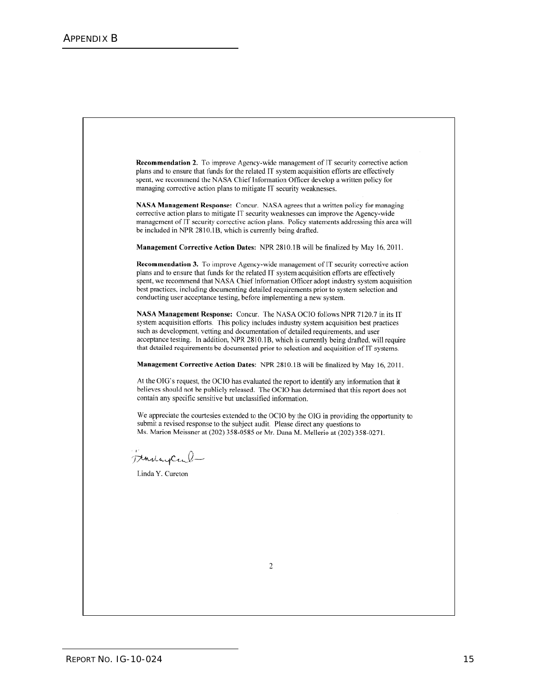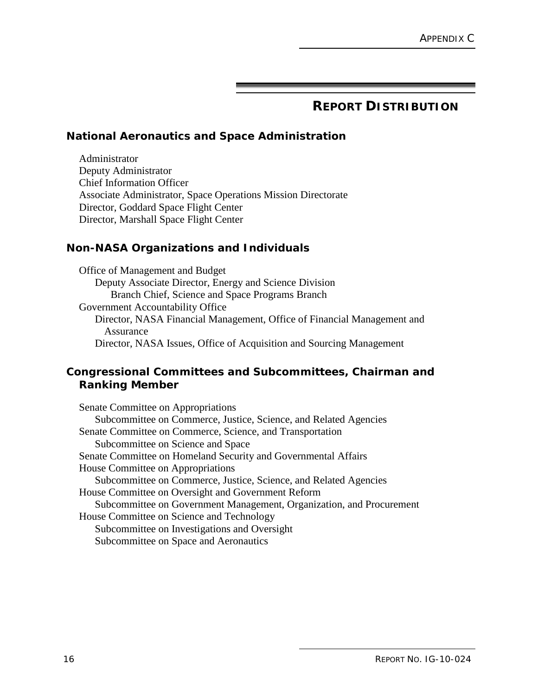### **REPORT DISTRIBUTION**

#### <span id="page-23-0"></span>**National Aeronautics and Space Administration**

Administrator Deputy Administrator Chief Information Officer Associate Administrator, Space Operations Mission Directorate Director, Goddard Space Flight Center Director, Marshall Space Flight Center

#### **Non-NASA Organizations and Individuals**

Office of Management and Budget Deputy Associate Director, Energy and Science Division Branch Chief, Science and Space Programs Branch Government Accountability Office Director, NASA Financial Management, Office of Financial Management and Assurance Director, NASA Issues, Office of Acquisition and Sourcing Management

#### **Congressional Committees and Subcommittees, Chairman and Ranking Member**

Senate Committee on Appropriations Subcommittee on Commerce, Justice, Science, and Related Agencies Senate Committee on Commerce, Science, and Transportation Subcommittee on Science and Space Senate Committee on Homeland Security and Governmental Affairs House Committee on Appropriations Subcommittee on Commerce, Justice, Science, and Related Agencies House Committee on Oversight and Government Reform Subcommittee on Government Management, Organization, and Procurement House Committee on Science and Technology Subcommittee on Investigations and Oversight Subcommittee on Space and Aeronautics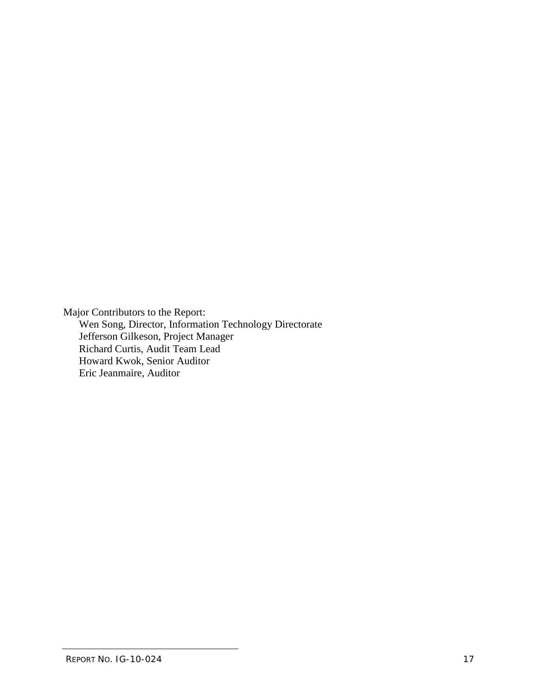Major Contributors to the Report: Wen Song, Director, Information Technology Directorate Jefferson Gilkeson, Project Manager Richard Curtis, Audit Team Lead Howard Kwok, Senior Auditor Eric Jeanmaire, Auditor